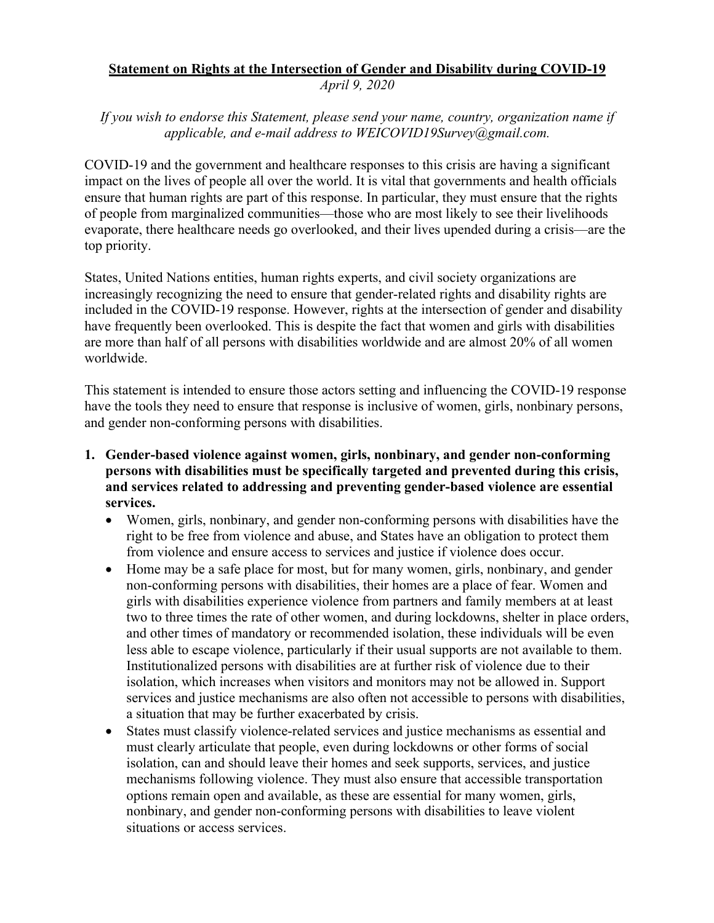## **Statement on Rights at the Intersection of Gender and Disability during COVID-19** *April 9, 2020*

*If you wish to endorse this Statement, please send your name, country, organization name if applicable, and e-mail address to WEICOVID19Survey@gmail.com.*

COVID-19 and the government and healthcare responses to this crisis are having a significant impact on the lives of people all over the world. It is vital that governments and health officials ensure that human rights are part of this response. In particular, they must ensure that the rights of people from marginalized communities—those who are most likely to see their livelihoods evaporate, there healthcare needs go overlooked, and their lives upended during a crisis—are the top priority.

States, United Nations entities, human rights experts, and civil society organizations are increasingly recognizing the need to ensure that gender-related rights and disability rights are included in the COVID-19 response. However, rights at the intersection of gender and disability have frequently been overlooked. This is despite the fact that women and girls with disabilities are more than half of all persons with disabilities worldwide and are almost 20% of all women worldwide.

This statement is intended to ensure those actors setting and influencing the COVID-19 response have the tools they need to ensure that response is inclusive of women, girls, nonbinary persons, and gender non-conforming persons with disabilities.

- **1. Gender-based violence against women, girls, nonbinary, and gender non-conforming persons with disabilities must be specifically targeted and prevented during this crisis, and services related to addressing and preventing gender-based violence are essential services.**
	- Women, girls, nonbinary, and gender non-conforming persons with disabilities have the right to be free from violence and abuse, and States have an obligation to protect them from violence and ensure access to services and justice if violence does occur.
	- Home may be a safe place for most, but for many women, girls, nonbinary, and gender non-conforming persons with disabilities, their homes are a place of fear. Women and girls with disabilities experience violence from partners and family members at at least two to three times the rate of other women, and during lockdowns, shelter in place orders, and other times of mandatory or recommended isolation, these individuals will be even less able to escape violence, particularly if their usual supports are not available to them. Institutionalized persons with disabilities are at further risk of violence due to their isolation, which increases when visitors and monitors may not be allowed in. Support services and justice mechanisms are also often not accessible to persons with disabilities, a situation that may be further exacerbated by crisis.
	- States must classify violence-related services and justice mechanisms as essential and must clearly articulate that people, even during lockdowns or other forms of social isolation, can and should leave their homes and seek supports, services, and justice mechanisms following violence. They must also ensure that accessible transportation options remain open and available, as these are essential for many women, girls, nonbinary, and gender non-conforming persons with disabilities to leave violent situations or access services.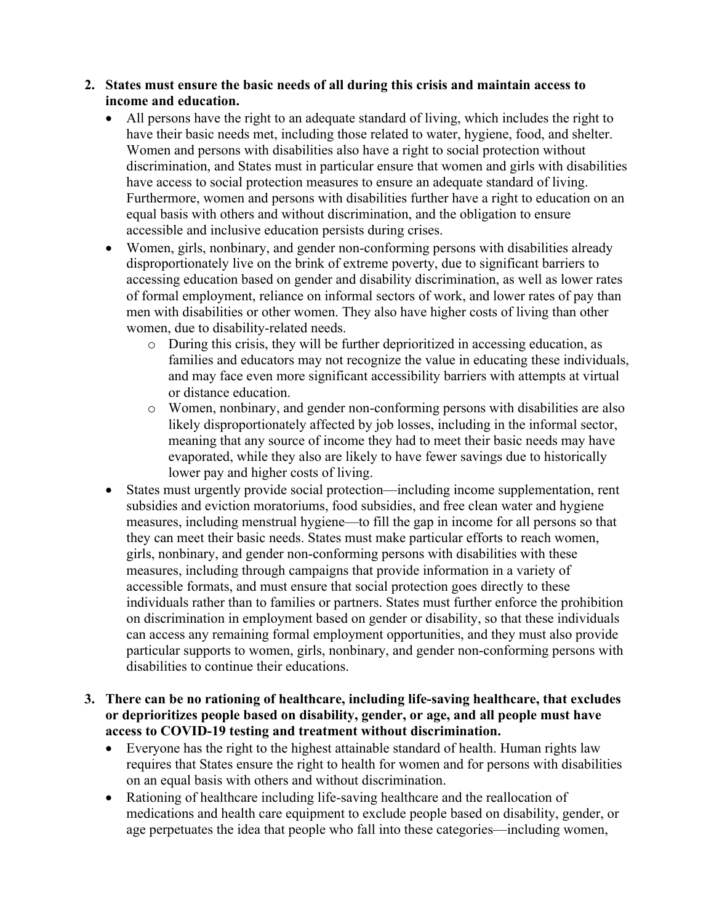- **2. States must ensure the basic needs of all during this crisis and maintain access to income and education.**
	- All persons have the right to an adequate standard of living, which includes the right to have their basic needs met, including those related to water, hygiene, food, and shelter. Women and persons with disabilities also have a right to social protection without discrimination, and States must in particular ensure that women and girls with disabilities have access to social protection measures to ensure an adequate standard of living. Furthermore, women and persons with disabilities further have a right to education on an equal basis with others and without discrimination, and the obligation to ensure accessible and inclusive education persists during crises.
	- Women, girls, nonbinary, and gender non-conforming persons with disabilities already disproportionately live on the brink of extreme poverty, due to significant barriers to accessing education based on gender and disability discrimination, as well as lower rates of formal employment, reliance on informal sectors of work, and lower rates of pay than men with disabilities or other women. They also have higher costs of living than other women, due to disability-related needs.
		- o During this crisis, they will be further deprioritized in accessing education, as families and educators may not recognize the value in educating these individuals, and may face even more significant accessibility barriers with attempts at virtual or distance education.
		- o Women, nonbinary, and gender non-conforming persons with disabilities are also likely disproportionately affected by job losses, including in the informal sector, meaning that any source of income they had to meet their basic needs may have evaporated, while they also are likely to have fewer savings due to historically lower pay and higher costs of living.
	- States must urgently provide social protection—including income supplementation, rent subsidies and eviction moratoriums, food subsidies, and free clean water and hygiene measures, including menstrual hygiene—to fill the gap in income for all persons so that they can meet their basic needs. States must make particular efforts to reach women, girls, nonbinary, and gender non-conforming persons with disabilities with these measures, including through campaigns that provide information in a variety of accessible formats, and must ensure that social protection goes directly to these individuals rather than to families or partners. States must further enforce the prohibition on discrimination in employment based on gender or disability, so that these individuals can access any remaining formal employment opportunities, and they must also provide particular supports to women, girls, nonbinary, and gender non-conforming persons with disabilities to continue their educations.
- **3. There can be no rationing of healthcare, including life-saving healthcare, that excludes or deprioritizes people based on disability, gender, or age, and all people must have access to COVID-19 testing and treatment without discrimination.**
	- Everyone has the right to the highest attainable standard of health. Human rights law requires that States ensure the right to health for women and for persons with disabilities on an equal basis with others and without discrimination.
	- Rationing of healthcare including life-saving healthcare and the reallocation of medications and health care equipment to exclude people based on disability, gender, or age perpetuates the idea that people who fall into these categories—including women,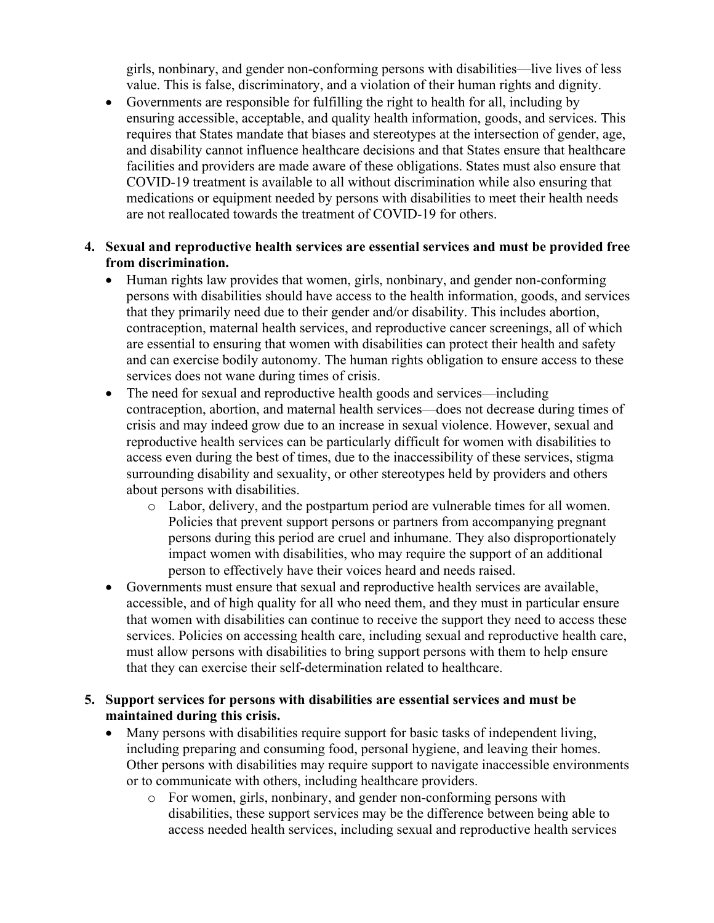girls, nonbinary, and gender non-conforming persons with disabilities—live lives of less value. This is false, discriminatory, and a violation of their human rights and dignity.

• Governments are responsible for fulfilling the right to health for all, including by ensuring accessible, acceptable, and quality health information, goods, and services. This requires that States mandate that biases and stereotypes at the intersection of gender, age, and disability cannot influence healthcare decisions and that States ensure that healthcare facilities and providers are made aware of these obligations. States must also ensure that COVID-19 treatment is available to all without discrimination while also ensuring that medications or equipment needed by persons with disabilities to meet their health needs are not reallocated towards the treatment of COVID-19 for others.

## **4. Sexual and reproductive health services are essential services and must be provided free from discrimination.**

- Human rights law provides that women, girls, nonbinary, and gender non-conforming persons with disabilities should have access to the health information, goods, and services that they primarily need due to their gender and/or disability. This includes abortion, contraception, maternal health services, and reproductive cancer screenings, all of which are essential to ensuring that women with disabilities can protect their health and safety and can exercise bodily autonomy. The human rights obligation to ensure access to these services does not wane during times of crisis.
- The need for sexual and reproductive health goods and services—including contraception, abortion, and maternal health services—does not decrease during times of crisis and may indeed grow due to an increase in sexual violence. However, sexual and reproductive health services can be particularly difficult for women with disabilities to access even during the best of times, due to the inaccessibility of these services, stigma surrounding disability and sexuality, or other stereotypes held by providers and others about persons with disabilities.
	- o Labor, delivery, and the postpartum period are vulnerable times for all women. Policies that prevent support persons or partners from accompanying pregnant persons during this period are cruel and inhumane. They also disproportionately impact women with disabilities, who may require the support of an additional person to effectively have their voices heard and needs raised.
- Governments must ensure that sexual and reproductive health services are available, accessible, and of high quality for all who need them, and they must in particular ensure that women with disabilities can continue to receive the support they need to access these services. Policies on accessing health care, including sexual and reproductive health care, must allow persons with disabilities to bring support persons with them to help ensure that they can exercise their self-determination related to healthcare.

## **5. Support services for persons with disabilities are essential services and must be maintained during this crisis.**

- Many persons with disabilities require support for basic tasks of independent living, including preparing and consuming food, personal hygiene, and leaving their homes. Other persons with disabilities may require support to navigate inaccessible environments or to communicate with others, including healthcare providers.
	- o For women, girls, nonbinary, and gender non-conforming persons with disabilities, these support services may be the difference between being able to access needed health services, including sexual and reproductive health services